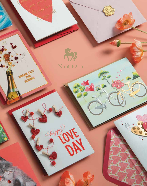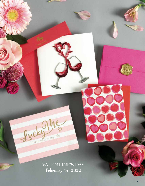VALENTINE'S DAY February 14, 2022

ACKY In my life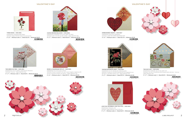

**5" x 7" | Minimum order 6 | Retail \$7.95 | Wholesale \$3.98**  $\begin{smallmatrix} \texttt{0} & \texttt{0} & \texttt{0} & \texttt{0} & \texttt{0} & \texttt{0} & \texttt{0} & \texttt{0} & \texttt{0} & \texttt{0} & \texttt{0} & \texttt{0} & \texttt{0} & \texttt{0} & \texttt{0} & \texttt{0} & \texttt{0} & \texttt{0} & \texttt{0} & \texttt{0} & \texttt{0} & \texttt{0} & \texttt{0} & \texttt{0} & \texttt{0} & \texttt{0} & \texttt{0} & \texttt{0} & \texttt{0} & \texttt{0} & \texttt{$ 



**VINTAGE BOTANICAL ROSE | NVD-0047**  *Embellishment: tip-ons, flocking, foil, embossing, gems Sentiment: Loving you is the best thing that has ever happened to me My heart is, and always will be, yours Happy Valentine's Day*



**EMBROIDERED HEARTS | NVD-0027** *Embellishment: diecut felt, embroidered Sentiment: I LOVE YOU HAPPY VALENTINE'S DAY* **6" x 6" | Minimum order 3 | Retail \$11.95 | Wholesale \$5.98**

#### **TWO BICYCLES | NVD-0030**

*Embellishment: handmade, tip-ons resin, glitter, foil Sentiment: Our love is an adventure that only gets better with time I love you Happy Valentine's Day*

**5" x 7" | Minimum order 3 | Retail \$8.95 | Wholesale \$4.48**





**TWO BIRDS ON TREE | NVD-0031** *Embellishment: tip-ons, feathers, embossed foil, rhinestones Sentiment: I love you Happy Valentine's Day* **5" x 7" | Minimum order 3 | Retail \$8.95 | Wholesale \$4.48**  $\begin{array}{c} \begin{array}{c} \end{array} \begin{array}{c} \begin{array}{c} \end{array} \begin{array}{c} \end{array} \begin{array}{c} \end{array} \begin{array}{c} \end{array} \begin{array}{c} \end{array} \begin{array}{c} \end{array} \begin{array}{c} \end{array} \begin{array}{c} \end{array} \begin{array}{c} \end{array} \begin{array}{c} \end{array} \begin{array}{c} \end{array} \begin{array}{c} \end{array} \begin{array}{c} \end{array} \begin{array}{c} \end{array} \begin{array}{c} \end{array} \begin{array}{c} \end{array} \begin$ 



**THREE ROSES | NVD-0001** *Embellishment: handmade paper filigree Sentiment: Happy Valentine's Day to my one true love* **6" x 6" | Minimum order 3 | Retail \$12.95 | Wholesale \$6.48**  $\frac{1}{2}$   $\frac{1}{2}$   $\frac{1}{2}$   $\frac{1}{2}$   $\frac{1}{2}$   $\frac{1}{2}$   $\frac{1}{2}$   $\frac{1}{2}$   $\frac{1}{2}$ 



**LOVE YOU YESTERDAY, LOVE YOU STILL | NVD-0054** *Embellishment: letterpress, foil Sentiment: Happy Valentine's Day To My Love* **5" x 7" | Minimum order 6 | Retail \$6.95 | Wholesale \$3.48**









**COUPLE BEHIND BALLOONS | NVD-0026** *Embellishment: handmade, tip-ons resin, glitter, foil, fabric Sentiment: when I am with you, life is perfect Happy Valentine's Day* **5" x 7" | Minimum order 3 | Retail \$10.95 | Wholesale \$5.48**





**ROSES & CHAMPAGNE POP-UP | NVD-0043** *Embellishment: tip-on foil, pop-up interior Sentiment: You are so special to me, and I cannot imagine a single day without you in my life nor would I ever want to Happy Valentine's Day* **6" x 6" | Minimum order 3 | Retail \$9.95 | Wholesale \$4.98**



#### **VALENTINE'S DAY VALENTINE'S DAY**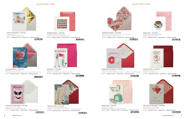

**6" x 6" | Minimum order 3 | Retail \$12.95 | Wholesale \$6.48**  $\begin{array}{c} \begin{array}{|c|c|c|c|c|}\hline \end{array} & \begin{array}{|c|c|c|c|c|}\hline \end{array} & \begin{array}{|c|c|c|c|c|}\hline \end{array} & \begin{array}{|c|c|c|c|}\hline \end{array} & \begin{array}{|c|c|c|c|}\hline \end{array} & \begin{array}{|c|c|c|c|}\hline \end{array} & \begin{array}{|c|c|c|c|}\hline \end{array} & \begin{array}{|c|c|c|c|}\hline \end{array} & \begin{array}{|c|c|c|c|}\hline \end{array} &$ 



**HEART LATTE | NVD-0002** *Embellishment: handmade paper filigree Sentiment: Happy Valentine's Day*

**6" x 6" | Minimum order 3 | Retail \$9.95 | Wholesale \$4.98**  $\frac{1}{2}$ 



**WATERCOLOR HEART | NVD-0032** *Embellishment: diecut, vellum tip-ons, glitter, foil, rhinestones Sentiment: my heart is full of love for you*

> **6.5" x 5" | Minimum order 6 | Retail \$6.95 | Wholesale \$3.48**  $\frac{1}{2}$   $\frac{1}{2}$   $\frac{1}{2}$   $\frac{1}{2}$   $\frac{1}{2}$   $\frac{1}{2}$   $\frac{1}{2}$   $\frac{1}{2}$   $\frac{1}{2}$   $\frac{1}{2}$   $\frac{1}{2}$   $\frac{1}{2}$   $\frac{1}{2}$   $\frac{1}{2}$   $\frac{1}{2}$   $\frac{1}{2}$   $\frac{1}{2}$   $\frac{1}{2}$   $\frac{1}{2}$   $\frac{1}{2}$   $\frac{1}{2}$   $\frac{1}{2}$



**5" x 7" | Minimum order 6 | Retail \$7.95 | Wholesale \$3.98 THE REAL PROPERTY AND IN** 

**SPRINKLES TO MY DONUT | NVD-0029** *Embellishment: tip-ons, felt, beads Sentiment: YOU MAKE EVERYTHING SWEETER! HAPPY HAPPY VALENTINE'S DAY* **5" x 7" | Minimum order 3 | Retail \$9.95 | Wholesale \$4.98**





**NO PARTY PANTS | NVD-0011** *Embellishment: letterpress Sentiment: Happy Valentine's Day*

**TWO OWLS W. BALLOONS | NVD-0039** *Embellishment: tip-ons, foil, beads Sentiment: Happy Valentine's Day!*

**RETRO TOAST | NVD-0007** *Embellishment: letterpress Sentiment: So you butter be nice this Valentine's Day* **5.875" x 4.625" | Minimum order 6 | Retail \$6.95 | Wholesale \$3.48**

**RAINBOW HEARTS | NVD-0019** *Embellishment: handmade paper filigree Sentiment: Lots of Love for a Happy Valentine's Day* **6" x 6" | Minimum order 3 | Retail \$12.95 | Wholesale \$6.48**

 $\frac{1}{2}$   $\frac{1}{2}$   $\frac{1}{2}$   $\frac{1}{2}$   $\frac{1}{2}$   $\frac{1}{2}$   $\frac{1}{2}$   $\frac{1}{2}$   $\frac{1}{2}$   $\frac{1}{2}$   $\frac{1}{2}$   $\frac{1}{2}$   $\frac{1}{2}$   $\frac{1}{2}$   $\frac{1}{2}$   $\frac{1}{2}$   $\frac{1}{2}$   $\frac{1}{2}$   $\frac{1}{2}$   $\frac{1}{2}$   $\frac{1}{2}$   $\frac{1}{2}$ 

**SOULMATEY | NVD-0005** *Embellishment: letterpress Sentiment: I love being with you. Happy Valentine's Day* **6.5" x 5" | Minimum order 6 | Retail \$6.95 | Wholesale \$3.48**

0 0 2 9 2 9 2 9 4 1



**CUTE DOG IN SUNGLASSES | NVD-0044** *Embellishment: tip-ons, foil, gems Sentiment: lots of love happy valentine's day* **5" x 7" | Minimum order 6 | Retail \$7.95 | Wholesale \$3.98**





**TO MARS AND BACK | NVD-0041** *Embellishment: tip-on, foil, glitter Sentiment: Every adventure we take big or small, I want to share it all with you* **5" x 7" | Minimum order 6 | Retail \$7.95 | Wholesale \$3.98**

# $\begin{array}{c} \begin{array}{c} \end{array} \end{array} \begin{array}{c} \begin{array}{c} \begin{array}{c} \end{array} \end{array} \end{array} \begin{array}{c} \begin{array}{c} \end{array} \end{array} \end{array} \begin{array}{c} \begin{array}{c} \end{array} \end{array} \begin{array}{c} \begin{array}{c} \end{array} \end{array} \end{array}$





**PHOTO POLAR BEARS | NVD-0034** *Embellishment: foil Sentiment: HAPPY VALENTINE'S DAY* **5" x 7" | Minimum order 6 | Retail \$7.95 | Wholesale \$3.98**



#### **VALENTINE'S DAY VALENTINE'S DAY**

**GIRAFFE COUPLE | NVD-0028** *Embellishment: foil, embossed, rhinestones Sentiment: I LOVE SHARING MY LIFE WITH YOU happy valentine's day* **5" x 7" | Minimum order 6 | Retail \$7.95 | Wholesale \$3.98**





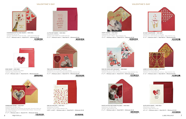*6* NIQUEAD.com 1.800.998.6957 *7*

**SO SAXY SAXOPHONE | NVD-0049** *Embellishment: handmade, tip-ons, foil, gems Sentiment: let's make amazing music together Happy Valentine's Day* **5" x 7" | Minimum order 6 | Retail \$8.95 | Wholesale \$4.48**  $\frac{1}{2}$ 





 $\frac{1}{2}$   $\frac{1}{2}$   $\frac{1}{2}$   $\frac{1}{2}$   $\frac{1}{2}$   $\frac{1}{2}$   $\frac{1}{2}$   $\frac{1}{2}$   $\frac{1}{2}$   $\frac{1}{2}$   $\frac{1}{2}$   $\frac{1}{2}$   $\frac{1}{2}$   $\frac{1}{2}$   $\frac{1}{2}$   $\frac{1}{2}$   $\frac{1}{2}$   $\frac{1}{2}$   $\frac{1}{2}$   $\frac{1}{2}$   $\frac{1}{2}$   $\frac{1}{2}$ 

 $\frac{1}{2}$ 



**PUPPY COUPLE | NVD-0046** *Embellishment: diecut, glitter, foil Sentiment: Forever + Always Happy Valentine's Day* **5" x 7" | Minimum order 6 | Retail \$7.95 | Wholesale \$3.98**



**MAN ON VESPA WITH BOUQUET | NVD-0060** *Embellishment: tip-ons, glitter, foil, gems Sentiment: Bringing you wishes of love today and always Happy Valentine's Day* **5" x 7" | Minimum order 3 | Retail \$7.95 | Wholesale \$3.98**







*Embellishment: lasercut, glitter, foil Sentiment: I love sharing adventures with you Happy Valentine's Day* **6" x 6" | Minimum order 3 | Retail \$8.95 | Wholesale \$4.48**

**SLOTH WITH HEART | NVD-0016** *Embellishment: letterpress Sentiment: Happy Valentine's Day* **6.5" x 5" | Minimum order 6 | Retail \$6.95 | Wholesale \$3.48**



# $\frac{1}{2}$



**ROSE HEART | NVD-0004** *Embellishment: handmade paper filigree Sentiment: Happy Valentine's Day* **6" x 6" | Minimum order 3 | Retail \$12.95 | Wholesale \$6.48**  $\frac{1}{2}$   $\frac{1}{2}$   $\frac{1}{2}$   $\frac{1}{2}$   $\frac{1}{2}$   $\frac{1}{2}$   $\frac{1}{2}$   $\frac{1}{2}$   $\frac{1}{2}$   $\frac{1}{2}$   $\frac{1}{2}$   $\frac{1}{2}$   $\frac{1}{2}$   $\frac{1}{2}$   $\frac{1}{2}$   $\frac{1}{2}$   $\frac{1}{2}$   $\frac{1}{2}$   $\frac{1}{2}$   $\frac{1}{2}$   $\frac{1}{2}$   $\frac{1}{2}$ 





**PHOTO KITTEN AND HEART PILLOWS | NVD-0056** *Embellishment: foil, pillow heart Sentiment: Happy Valentine's Day* **5" x 7" | Minimum order 6 | Retail \$8.95 | Wholesale \$4.48**

**A LITTLE BIT NAKED | NVD-0052** *Embellishment: letterpress Sentiment: AND UNDER THE COVERS WITH ME* **5" x 7" | Minimum order 6 | Retail \$6.95 | Wholesale \$3.48**

 $\begin{array}{c} \begin{array}{c} \end{array} \begin{array}{c} \begin{array}{c} \end{array} \begin{array}{c} \end{array} \begin{array}{c} \end{array} \begin{array}{c} \end{array} \begin{array}{c} \end{array} \begin{array}{c} \end{array} \begin{array}{c} \end{array} \begin{array}{c} \end{array} \begin{array}{c} \end{array} \begin{array}{c} \end{array} \begin{array}{c} \end{array} \begin{array}{c} \end{array} \begin{array}{c} \end{array} \begin{array}{c} \end{array} \begin{array}{c} \end{array} \begin{array}{c} \end{array} \begin$ 



**ONE IN A MILLION | NVD-0012** *Embellishment: foil, glitter Sentiment: I love you, Happy Valentine's Day* **5.875" x 4.625" | Minimum order 6 | Retail \$6.95 | Wholesale \$3.48**

**TWO CATS SNUGGLING | NVD-0042** *Embellishment: tip-on, foil, glitter, rhinestone, flocking Sentiment: Our love makes everything wonderful! Happy Valentine's Day* **5" x 7" | Minimum order 6 | Retail \$7.95 | Wholesale \$3.98**

 $\begin{smallmatrix} \begin{smallmatrix} 0\\ 0\\ 0\\ 0\\ 0\\ \end{smallmatrix} \end{smallmatrix} \begin{smallmatrix} \begin{smallmatrix} 0\\ 0\\ 0\\ 0\\ 0\\ 0\\ \end{smallmatrix} \end{smallmatrix} \begin{smallmatrix} \begin{smallmatrix} 0\\ 0\\ 0\\ 0\\ 0\\ 0\\ \end{smallmatrix} \end{smallmatrix} \begin{smallmatrix} \begin{smallmatrix} 0\\ 0\\ 0\\ 0\\ 0\\ 0\\ \end{smallmatrix} \end{smallmatrix} \begin{smallmatrix} \begin{smallmatrix} 0\\ 0\\ 0\\ 0\\ 0\\ 0\\ \end{smallmatrix} \end{smallmatrix} \begin{smallmatrix} \begin{smallmatrix}$ 



**MARBLEIZED HEART | NVD-0037** *Embellishment: foil, glitter, tassel Sentiment: Nobody has ever measured, not even poets, how much a heart can hold -Zelda Fitzgerald you are my everything-today & always, I love you more than my heart can hold*

**5" x 7" | Minimum order 6 | Retail \$7.95 | Wholesale \$3.98**



**CHAMPAGNE BOTTLE AND HEARTS | NVD-0036** *Embellishment: tip-ons, foil Sentiment: AND RAISE A TOAST TO LOVE! HAPPY VALENTINE'S DAY* **5" x 7" | Minimum order 6 | Retail \$7.95 | Wholesale \$3.98**



#### **VALENTINE'S DAY VALENTINE'S DAY**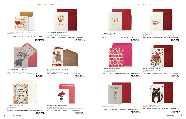

**ELEPHANT AND HEARTS | NVD-0055** *Embellishment: tip-ons, foil Sentiment: Happy Valentine's Day To My Love* **5" x 7" | Minimum order 3 | Retail \$7.95 | Wholesale \$3.98**  $\begin{array}{c} \begin{array}{c} \end{array} \begin{array}{c} \begin{array}{c} \end{array} \begin{array}{c} \end{array} \begin{array}{c} \end{array} \begin{array}{c} \end{array} \begin{array}{c} \end{array} \begin{array}{c} \end{array} \begin{array}{c} \end{array} \begin{array}{c} \end{array} \begin{array}{c} \end{array} \begin{array}{c} \end{array} \begin{array}{c} \end{array} \begin{array}{c} \end{array} \begin{array}{c} \end{array} \begin{array}{c} \end{array} \begin{array}{c} \end{array} \begin{array}{c} \end{array} \begin$ 







### **VALENTINE'S DAY**

## **VALENTINE'S DAY**





**TO A WONDERFUL DAUGHTER | NVD-0018** *Embellishment: foil Sentiment: Your smile brightens my world, I love you so much. Happy Valentine's Day* **5.625" x 5.5" | Minimum order 6 | Retail \$7.95 | Wholesale \$3.98**

**HUSBAND XOXO | NVD-0015** *Embellishment: foil Sentiment: You make my life complete I love you Happy Valentine's Day* **7.25" x 5.5" | Minimum order 6 | Retail \$7.95 | Wholesale \$3.98**



**BEAR WITH HEART DAD | NVD-0014** *Embellishment: foil Sentiment: Happy Valentine's Day* **7.5" x 4" | Minimum order 6 | Retail \$7.95 | Wholesale \$3.98**  $\frac{1}{2}$   $\frac{1}{2}$   $\frac{1}{2}$   $\frac{1}{2}$   $\frac{1}{2}$   $\frac{1}{2}$   $\frac{1}{2}$   $\frac{1}{2}$   $\frac{1}{2}$   $\frac{1}{2}$   $\frac{1}{2}$   $\frac{1}{2}$   $\frac{1}{2}$   $\frac{1}{2}$   $\frac{1}{2}$   $\frac{1}{2}$   $\frac{1}{2}$   $\frac{1}{2}$   $\frac{1}{2}$   $\frac{1}{2}$   $\frac{1}{2}$   $\frac{1}{2}$ 



**5.875" x 4.625" | Minimum order 6 | Retail \$5.95 | Wholesale \$2.98**  $\frac{1}{2}$   $\frac{1}{2}$   $\frac{1}{2}$   $\frac{1}{2}$   $\frac{1}{2}$   $\frac{1}{2}$   $\frac{1}{2}$   $\frac{1}{2}$   $\frac{1}{2}$   $\frac{1}{2}$   $\frac{1}{2}$   $\frac{1}{2}$   $\frac{1}{2}$   $\frac{1}{2}$   $\frac{1}{2}$   $\frac{1}{2}$   $\frac{1}{2}$   $\frac{1}{2}$   $\frac{1}{2}$   $\frac{1}{2}$   $\frac{1}{2}$   $\frac{1}{2}$ 



**WIFE CARD | NVD-0020** *Embellishment: foil, glitter Sentiment: And I will love you forever* **6.5" x 5" | Minimum order 6 | Retail \$6.95 | Wholesale \$3.48**



**BOX OF LOVE | NVD-0010** *Embellishment: foil Sentiment: You make the world a better place, Happy Valentine's Day* **5.875" x 4.625" | Minimum order 6 | Retail \$6.95 | Wholesale \$3.48**





**MODERN HEARTS | NVD-0009** *Embellishment: letterpress Sentiment: Happy Valentine's Day* **5.875" x 4.625" | Minimum order 6 | Retail \$6.95 | Wholesale \$3.48**  $\frac{1}{2}$   $\frac{1}{2}$   $\frac{1}{2}$   $\frac{1}{2}$   $\frac{1}{2}$   $\frac{1}{2}$   $\frac{1}{2}$   $\frac{1}{2}$   $\frac{1}{2}$   $\frac{1}{2}$   $\frac{1}{2}$   $\frac{1}{2}$   $\frac{1}{2}$   $\frac{1}{2}$   $\frac{1}{2}$   $\frac{1}{2}$   $\frac{1}{2}$   $\frac{1}{2}$   $\frac{1}{2}$   $\frac{1}{2}$   $\frac{1}{2}$   $\frac{1}{2}$ 



**POTTED HEART PLANT | NVD-0003** *Embellishment: handmade paper filigree Sentiment: Together forever and ever! Happy Valentine's Day with all my love* **6" x 6" | Minimum order 3 | Retail \$12.95 | Wholesale \$6.48**

**BEE MY VALENTINE | NVD-0006** *Embellishment: handmade paper filigree Sentiment: Blank*

**CAT WITH GLASSES | NVD-0008** *Sentiment: Happy Valentine's Day* **5.875" x 4.625" | Minimum order 6 | Retail \$6.95 | Wholesale \$3.48**

 $\frac{1}{2}$ 

**FROM YOUR FAVORITE POOCH | NVD-0061** *Embellishment: letterpress Sentiment: AND MUCH LOVE ALL AROUND* **4.5" x 6.25" | Minimum order 6 | Retail \$6.95 | Wholesale \$3.48**







 $\frac{1}{2}$   $\frac{1}{2}$   $\frac{1}{2}$   $\frac{1}{2}$   $\frac{1}{2}$   $\frac{1}{2}$   $\frac{1}{2}$   $\frac{1}{2}$   $\frac{1}{2}$   $\frac{1}{2}$   $\frac{1}{2}$ 

# 0 0 9 2 9 2 8 5 5 5 7 2

**TEAPOT FLORAL MOM | NVD-0013** *Embellishment: foil, gems Sentiment: So lucky that you are my mom!* **5.875" x 4.625" | Minimum order 6 | Retail \$7.95 | Wholesale \$3.98**

 $\frac{1}{2}$   $\frac{1}{2}$   $\frac{1}{2}$   $\frac{1}{2}$   $\frac{1}{2}$   $\frac{1}{2}$   $\frac{1}{2}$   $\frac{1}{2}$   $\frac{1}{2}$   $\frac{1}{2}$   $\frac{1}{2}$ 

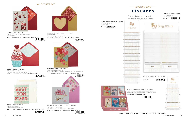

**DIE CUT CUPCAKE | NVD-0024** *Embellishment: diecut, glitter, felt Sentiment: HAVE A SUPER SWEET VALENTINE'S DAY* **5" x 7" | Minimum order 6 | Retail \$7.95 | Wholesale \$3.98**



 $\frac{1}{2}$   $\frac{1}{2}$   $\frac{1}{2}$   $\frac{1}{2}$   $\frac{1}{2}$   $\frac{1}{2}$   $\frac{1}{2}$   $\frac{1}{2}$   $\frac{1}{2}$   $\frac{1}{2}$   $\frac{1}{2}$   $\frac{1}{2}$   $\frac{1}{2}$   $\frac{1}{2}$   $\frac{1}{2}$   $\frac{1}{2}$   $\frac{1}{2}$   $\frac{1}{2}$   $\frac{1}{2}$   $\frac{1}{2}$   $\frac{1}{2}$   $\frac{1}{2}$ 



**SANDBLASTED GOLD FOIL HEART | NVD-0059** *Embellishment: foil Sentiment: Wishing you a very Happy Valentine's Day* **6" x 6" | Minimum order 6 | Retail \$7.95 | Wholesale \$3.98**



**PATTERNED HEARTS | NVD-0038** *Embellishment: tip-ons, foil, beads Sentiment: WISHING YOU A VALENTINE'S DAY FILLED WITH JOY AND LOVE!* **5" x 7" | Minimum order 6 | Retail \$7.95 | Wholesale \$3.98**



# — greeting card fixtures

**NIQUEA.D 4' FIXTURE | NIQFX4** *66" H x 24" D x 48" W Holds 108 cards* **\$390.00**  $\frac{1}{2}$   $\frac{1}{2}$   $\frac{1}{2}$   $\frac{1}{2}$   $\frac{1}{2}$   $\frac{1}{2}$   $\frac{1}{2}$   $\frac{1}{2}$   $\frac{1}{2}$ 

NIQUEA.D **SELECT** NICACH

**NIQUEA.D COUNTER FIXTURE | NIQFXC** *19" H x 12" D x 12" W Holds 12 cards* **\$92.00**  $\frac{1}{2}$   $\frac{1}{2}$   $\frac{1}{2}$   $\frac{1}{2}$   $\frac{1}{2}$   $\frac{1}{2}$   $\frac{1}{2}$   $\frac{1}{2}$   $\frac{1}{2}$ 

**WHEELBARROW W. HEARTS & FLOWERS | NVD-0023** *Embellishment: tip-on, foil, glitter Sentiment: Wishing you love overflowing on Valentine's Day* **6" x 6" | Minimum order 3 | Retail \$10.95 | Wholesale \$5.48**



**HEARTS ON LINE | NVD-0022** *Embellishment: tip-ons, foil, clips, twine, pom poms Sentiment: XOXO*

**5" x 7" | Minimum order 3 | Retail \$10.95 | Wholesale \$5.48**



### **VALENTINE'S DAY**



Fixtures that are sure to catch customers' eyes, all in one place!







**NIQUEA.D SPINNER FIXTURE | NIQFXS**

*66" H x 18" D x 18" W Holds 84 cards*

**\$320.00** 0 0 9 2 9 2 7 0 5 3 0 3

# **ASK YOUR REP ABOUT SPECIAL OFFSET PRICING.**

**NIQUEA.D COUNTER CORRUGATE | NVD-PDQ1**

*Counter display of 6 greeting cards, 6 pieces of each design packed in the display. The display comes assembled and loaded.*





**Retail \$238.50 | Wholesale \$119.25**



**BEST SON EVER | NVD-0017** *Embellishment: foil, gems Sentiment: Sending you all my love* **5.875" x 4.625" | Minimum order 6 | Retail \$6.95 | Wholesale \$3.48**

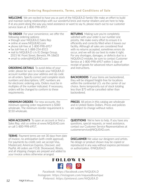# **Ordering Requirements, Terms, and Conditions of Sale**

**WELCOME** We are excited to have you as part of the NIQUEA.D family! We make an effort to build and maintain lasting relationships with our wonderful brick and mortar retailers and are here to help. If at any point along the way you need assistance or want to say hi, please reach out to our customer service team at 1-800-998-6957.

**TO ORDER** For your convenience, we offer the following ordering options:

- through your NIQUEA.D Sales Rep
- online at www.NIQUEAD.com
- phone toll-free at 1-800-998-6957
- fax toll-free at 1-888-254-8515
- mail to NIQUEA.D c/o IG Design Group, 2015 W. Front Street, Berwick, PA 18603
- email to orders@NIQUEAD.com

**ORDERING DETAILS** To avoid delay of your order, please be sure to include your NIQUEA.D account number plus your address and zip code on all orders. Specify correct and complete stock numbers and descriptions. UPC numbers are for electronic ordering only. Orders must be in multiples of the number indicated. If necessary, orders will be changed to conform to these requirements.

**MINIMUM ORDERS** For new accounts, the minimum opening order requirement is \$300 wholesale. The minimum reorder requirement is \$150 wholesale.

**NEW ACCOUNTS** To open an account or find a Sales Rep, visit us online at www.NIQUEAD.com or call 1-800-998-6957.

**TERMS** Payment terms are net 30 days from date of invoice, no anticipation (with credit approval). For payments by credit card, we accept Visa, Mastercard, American Express, Discover, and PayPal. All orders are F.O.B. Shorewood, Illinois, and all shipping charges are prepaid and added to your invoice unless otherwise arranged.

**RETURNS** Making sure you're completely satisfied with your order is our number one priority. We make every effort to ensure it is efficiently and correctly filled when it leaves our facility. Although all sales are considered final with no returns accepted, sometimes errors do occur, and we will do our best to make it right. For any shortages, damages, or defects due to a NIQUEA.D mistake, be sure to contact Customer Service at 1-800-998-6957 within 5 days of receipt of goods for advanced return authorization and instructions.

**BACKORDERS** If your items are backordered, they will be shipped freight-free for locations within the continental U.S. via the carrier of our choice. Items temporarily out of stock totaling less than \$75 will be cancelled rather than backordered.

**PRICES** All prices in this catalog are wholesale and in United States Dollars. Prices and policies are subject to change without notice.

**QUESTIONS** We're here to help. If you have any questions, special requests, or need assistance, contact our Customer Service Representatives at customerservice@NIQUEAD.com.

**DISCLAIMER** We value our designers and artists. No design or product shown may be copied or reproduced in any way without express permission or authorization. ©NIQUEA.D

# FOLLOW US **101**

*Facebook: https://facebook.com/NIQUEA.D Instagram: https://instagram.com/niqueadboutique Pinterest: https://pinterest.com/NIQUEA.D*